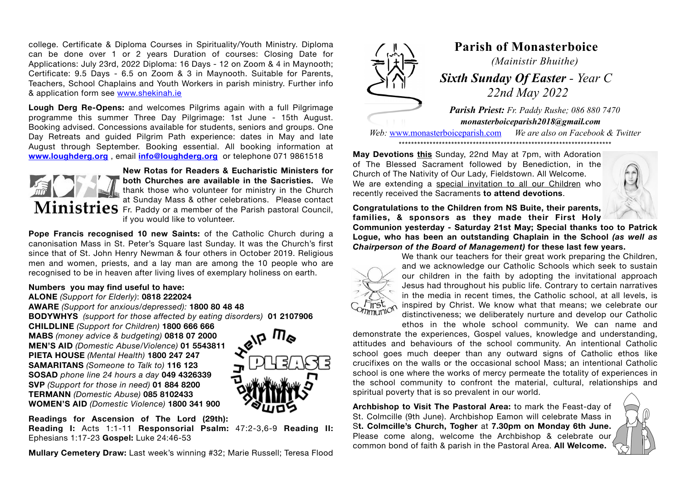college. Certificate & Diploma Courses in Spirituality/Youth Ministry. Diploma can be done over 1 or 2 years Duration of courses: Closing Date for Applications: July 23rd, 2022 Diploma: 16 Days - 12 on Zoom & 4 in Maynooth; Certificate: 9.5 Days - 6.5 on Zoom & 3 in Maynooth. Suitable for Parents, Teachers, School Chaplains and Youth Workers in parish ministry. Further info & application form see [www.shekinah.ie](http://www.shekinah.ie)

**Lough Derg Re-Opens:** and welcomes Pilgrims again with a full Pilgrimage programme this summer Three Day Pilgrimage: 1st June - 15th August. Booking advised. Concessions available for students, seniors and groups. One Day Retreats and guided Pilgrim Path experience: dates in May and late August through September. Booking essential. All booking information at **[www.loughderg.org](http://www.loughderg.org)** , email **[info@loughderg.org](mailto:info@loughderg.org)** or telephone 071 9861518



**New Rotas for Readers & Eucharistic Ministers for both Churches are available in the Sacristies.** We thank those who volunteer for ministry in the Church at Sunday Mass & other celebrations. Please contact Ministries Fr. Paddy or a member of the Parish pastoral Council, if you would like to volunteer.

**Pope Francis recognised 10 new Saints:** of the Catholic Church during a canonisation Mass in St. Peter's Square last Sunday. It was the Church's first since that of St. John Henry Newman & four others in October 2019. Religious men and women, priests, and a lay man are among the 10 people who are recognised to be in heaven after living lives of exemplary holiness on earth.

## **Numbers you may find useful to have:**

**ALONE** *(Support for Elderly)*: **0818 222024 AWARE** *(Support for anxious/depressed):* **1800 80 48 48 BODYWHYS** *(support for those affected by eating disorders)* **01 2107906 CHILDLINE** *(Support for Children)* **1800 666 666 MABS** *(money advice & budgeting)* **0818 07 2000 MEN'S AID** *(Domestic Abuse/Violence)* **01 5543811 PIETA HOUSE** *(Mental Health)* **1800 247 247 SAMARITANS** *(Someone to Talk to)* **116 123 SOSAD** *phone line 24 hours a day* **049 4326339 SVP** *(Support for those in need)* **01 884 8200 TERMANN** *(Domestic Abuse)* **085 8102433 WOMEN'S AID** *(Domestic Violence)* **1800 341 900**



**Readings for Ascension of The Lord (29th):** 

**Reading I:** Acts 1:1-11 **Responsorial Psalm:** 47:2-3,6-9 **Reading II:**  Ephesians 1:17-23 **Gospel:** Luke 24:46-53

**Mullary Cemetery Draw:** Last week's winning #32; Marie Russell; Teresa Flood



## **Parish of Monasterboice** *(Mainistir Bhuithe)*

 *Sixth Sunday Of Easter - Year C 22nd May 2022*

*Parish Priest: Fr. Paddy Rushe; 086 880 7470 monasterboiceparish2018@gmail.com* 

*Web:* [www.monasterboiceparish.com](http://www.monasterboiceparish.com) *We are also on Facebook & Twitter* \*\*\*\*\*\*\*\*\*\*\*\*\*\*\*\*\*\*\*\*\*\*\*\*\*\*\*\*\*\*\*\*\*\*\*\*\*\*\*\*\*\*\*\*\*\*\*\*\*\*\*\*\*\*\*\*\*\*\*\*\*\*\*\*\*\*\*\*\*

**May Devotions this** Sunday, 22nd May at 7pm, with Adoration of The Blessed Sacrament followed by Benediction, in the Church of The Nativity of Our Lady, Fieldstown. All Welcome. We are extending a special invitation to all our Children who recently received the Sacraments **to attend devotions**.



**Congratulations to the Children from NS Buite, their parents, families, & sponsors as they made their First Holy** 

**Communion yesterday - Saturday 21st May; Special thanks too to Patrick Logue, who has been an outstanding Chaplain in the School** *(as well as Chairperson of the Board of Management)* **for these last few years.** 



We thank our teachers for their great work preparing the Children, and we acknowledge our Catholic Schools which seek to sustain our children in the faith by adopting the invitational approach Jesus had throughout his public life. Contrary to certain narratives in the media in recent times, the Catholic school, at all levels, is inspired by Christ. We know what that means; we celebrate our distinctiveness; we deliberately nurture and develop our Catholic

ethos in the whole school community. We can name and demonstrate the experiences, Gospel values, knowledge and understanding, attitudes and behaviours of the school community. An intentional Catholic school goes much deeper than any outward signs of Catholic ethos like crucifixes on the walls or the occasional school Mass; an intentional Catholic school is one where the works of mercy permeate the totality of experiences in the school community to confront the material, cultural, relationships and spiritual poverty that is so prevalent in our world.

**Archbishop to Visit The Pastoral Area:** to mark the Feast-day of St. Colmcille (9th June). Archbishop Eamon will celebrate Mass in S**t. Colmcille's Church, Togher** at **7.30pm on Monday 6th June.** Please come along, welcome the Archbishop & celebrate our common bond of faith & parish in the Pastoral Area. **All Welcome.**